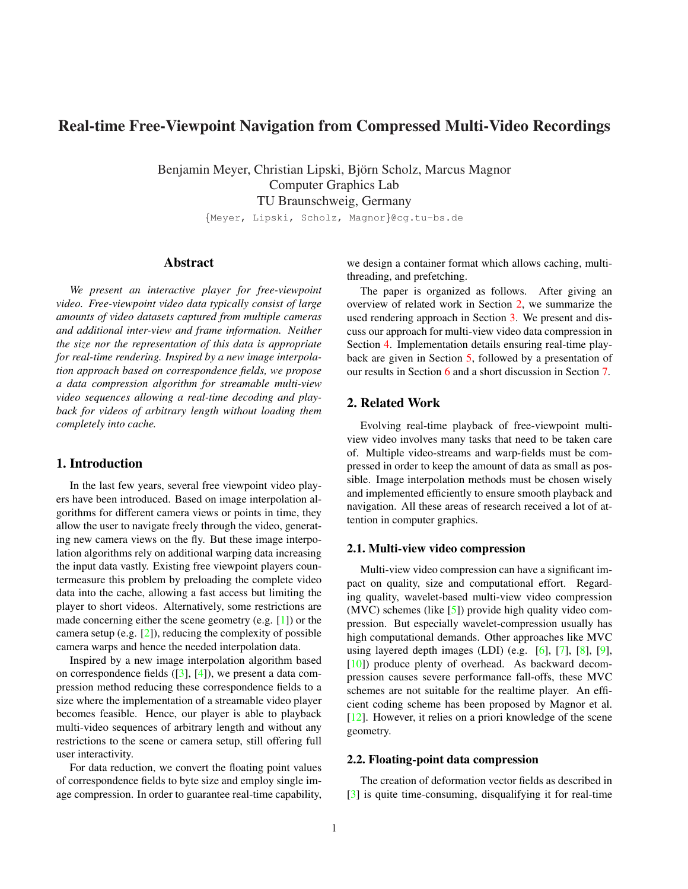# Real-time Free-Viewpoint Navigation from Compressed Multi-Video Recordings

Benjamin Meyer, Christian Lipski, Björn Scholz, Marcus Magnor Computer Graphics Lab TU Braunschweig, Germany

{Meyer, Lipski, Scholz, Magnor}@cg.tu-bs.de

## Abstract

*We present an interactive player for free-viewpoint video. Free-viewpoint video data typically consist of large amounts of video datasets captured from multiple cameras and additional inter-view and frame information. Neither the size nor the representation of this data is appropriate for real-time rendering. Inspired by a new image interpolation approach based on correspondence fields, we propose a data compression algorithm for streamable multi-view video sequences allowing a real-time decoding and playback for videos of arbitrary length without loading them completely into cache.*

### 1. Introduction

In the last few years, several free viewpoint video players have been introduced. Based on image interpolation algorithms for different camera views or points in time, they allow the user to navigate freely through the video, generating new camera views on the fly. But these image interpolation algorithms rely on additional warping data increasing the input data vastly. Existing free viewpoint players countermeasure this problem by preloading the complete video data into the cache, allowing a fast access but limiting the player to short videos. Alternatively, some restrictions are made concerning either the scene geometry (e.g. [1]) or the camera setup (e.g.  $[2]$ ), reducing the complexity of possible camera warps and hence the needed interpolation data.

Inspired by a new image interpolation algorithm based on correspondence fields  $([3], [4])$ , we present a data compression method reducing these correspondence fields to a size where the implementation of a streamable video player becomes feasible. Hence, our player is able to playback multi-video sequences of arbitrary length and without any restrictions to the scene or camera setup, still offering full user interactivity.

For data reduction, we convert the floating point values of correspondence fields to byte size and employ single image compression. In order to guarantee real-time capability, we design a container format which allows caching, multithreading, and prefetching.

The paper is organized as follows. After giving an overview of related work in Section 2, we summarize the used rendering approach in Section 3. We present and discuss our approach for multi-view video data compression in Section 4. Implementation details ensuring real-time playback are given in Section 5, followed by a presentation of our results in Section 6 and a short discussion in Section 7.

### 2. Related Work

Evolving real-time playback of free-viewpoint multiview video involves many tasks that need to be taken care of. Multiple video-streams and warp-fields must be compressed in order to keep the amount of data as small as possible. Image interpolation methods must be chosen wisely and implemented efficiently to ensure smooth playback and navigation. All these areas of research received a lot of attention in computer graphics.

### 2.1. Multi-view video compression

Multi-view video compression can have a significant impact on quality, size and computational effort. Regarding quality, wavelet-based multi-view video compression (MVC) schemes (like [5]) provide high quality video compression. But especially wavelet-compression usually has high computational demands. Other approaches like MVC using layered depth images (LDI) (e.g.  $[6]$ ,  $[7]$ ,  $[8]$ ,  $[9]$ , [10]) produce plenty of overhead. As backward decompression causes severe performance fall-offs, these MVC schemes are not suitable for the realtime player. An efficient coding scheme has been proposed by Magnor et al. [12]. However, it relies on a priori knowledge of the scene geometry.

### 2.2. Floating-point data compression

The creation of deformation vector fields as described in [3] is quite time-consuming, disqualifying it for real-time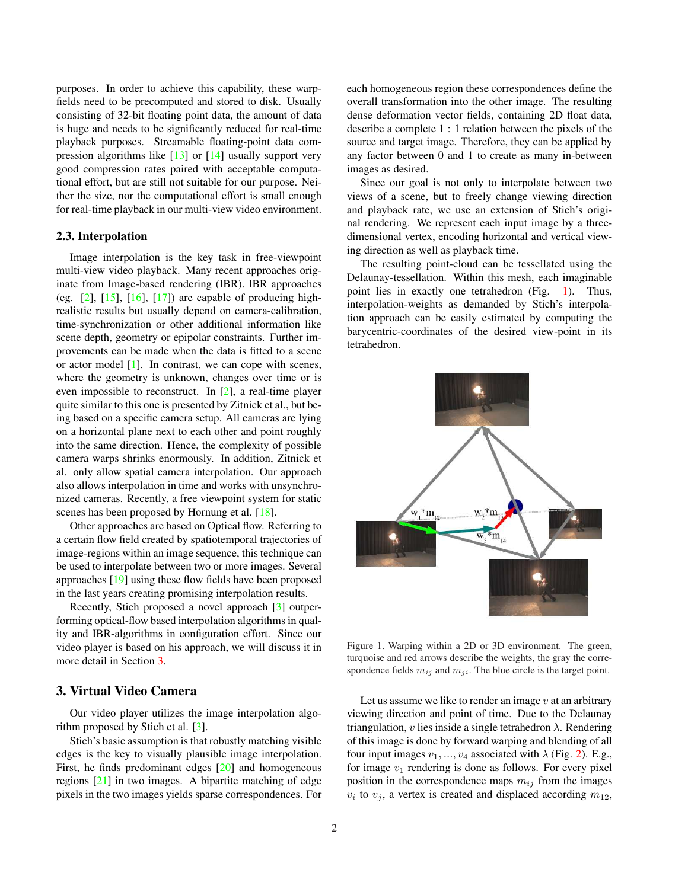purposes. In order to achieve this capability, these warpfields need to be precomputed and stored to disk. Usually consisting of 32-bit floating point data, the amount of data is huge and needs to be significantly reduced for real-time playback purposes. Streamable floating-point data compression algorithms like  $\lceil 13 \rceil$  or  $\lceil 14 \rceil$  usually support very good compression rates paired with acceptable computational effort, but are still not suitable for our purpose. Neither the size, nor the computational effort is small enough for real-time playback in our multi-view video environment.

#### 2.3. Interpolation

Image interpolation is the key task in free-viewpoint multi-view video playback. Many recent approaches originate from Image-based rendering (IBR). IBR approaches (eg.  $[2]$ ,  $[15]$ ,  $[16]$ ,  $[17]$ ) are capable of producing highrealistic results but usually depend on camera-calibration, time-synchronization or other additional information like scene depth, geometry or epipolar constraints. Further improvements can be made when the data is fitted to a scene or actor model [1]. In contrast, we can cope with scenes, where the geometry is unknown, changes over time or is even impossible to reconstruct. In [2], a real-time player quite similar to this one is presented by Zitnick et al., but being based on a specific camera setup. All cameras are lying on a horizontal plane next to each other and point roughly into the same direction. Hence, the complexity of possible camera warps shrinks enormously. In addition, Zitnick et al. only allow spatial camera interpolation. Our approach also allows interpolation in time and works with unsynchronized cameras. Recently, a free viewpoint system for static scenes has been proposed by Hornung et al. [18].

Other approaches are based on Optical flow. Referring to a certain flow field created by spatiotemporal trajectories of image-regions within an image sequence, this technique can be used to interpolate between two or more images. Several approaches [19] using these flow fields have been proposed in the last years creating promising interpolation results.

Recently, Stich proposed a novel approach [3] outperforming optical-flow based interpolation algorithms in quality and IBR-algorithms in configuration effort. Since our video player is based on his approach, we will discuss it in more detail in Section 3.

# 3. Virtual Video Camera

Our video player utilizes the image interpolation algorithm proposed by Stich et al. [3].

Stich's basic assumption is that robustly matching visible edges is the key to visually plausible image interpolation. First, he finds predominant edges [20] and homogeneous regions [21] in two images. A bipartite matching of edge pixels in the two images yields sparse correspondences. For each homogeneous region these correspondences define the overall transformation into the other image. The resulting dense deformation vector fields, containing 2D float data, describe a complete 1 : 1 relation between the pixels of the source and target image. Therefore, they can be applied by any factor between 0 and 1 to create as many in-between images as desired.

Since our goal is not only to interpolate between two views of a scene, but to freely change viewing direction and playback rate, we use an extension of Stich's original rendering. We represent each input image by a threedimensional vertex, encoding horizontal and vertical viewing direction as well as playback time.

The resulting point-cloud can be tessellated using the Delaunay-tessellation. Within this mesh, each imaginable point lies in exactly one tetrahedron (Fig. 1). Thus, interpolation-weights as demanded by Stich's interpolation approach can be easily estimated by computing the barycentric-coordinates of the desired view-point in its tetrahedron.



Figure 1. Warping within a 2D or 3D environment. The green, turquoise and red arrows describe the weights, the gray the correspondence fields  $m_{ij}$  and  $m_{ji}$ . The blue circle is the target point.

Let us assume we like to render an image  $v$  at an arbitrary viewing direction and point of time. Due to the Delaunay triangulation, v lies inside a single tetrahedron  $\lambda$ . Rendering of this image is done by forward warping and blending of all four input images  $v_1, ..., v_4$  associated with  $\lambda$  (Fig. 2). E.g., for image  $v_1$  rendering is done as follows. For every pixel position in the correspondence maps  $m_{ij}$  from the images  $v_i$  to  $v_j$ , a vertex is created and displaced according  $m_{12}$ ,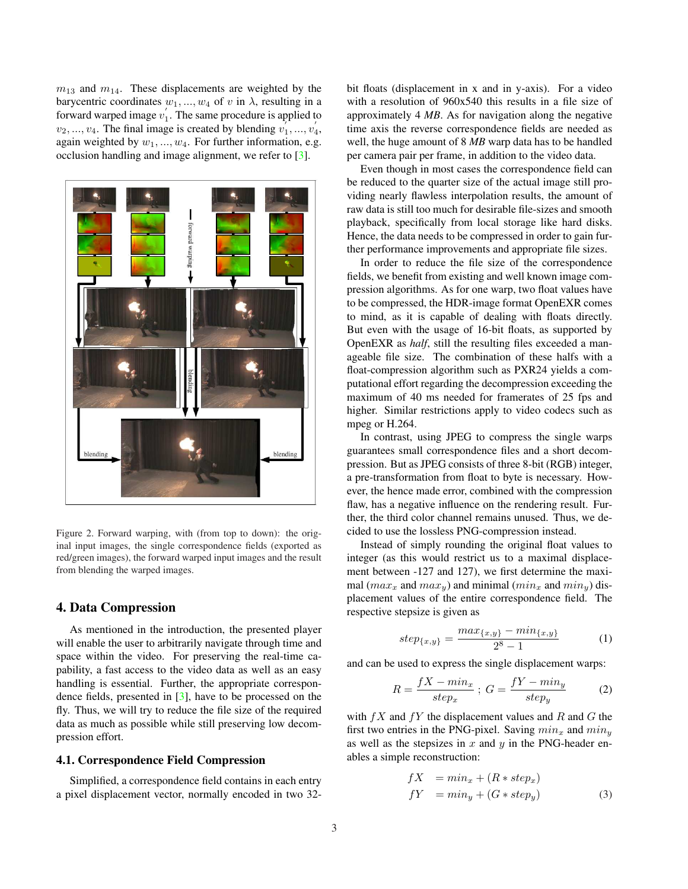$m_{13}$  and  $m_{14}$ . These displacements are weighted by the barycentric coordinates  $w_1, ..., w_4$  of v in  $\lambda$ , resulting in a forward warped image  $v_1'$ . The same procedure is applied to  $v_2, ..., v_4$ . The final image is created by blending  $v_1^{\prime}, ..., v_4^{\prime}$ , again weighted by  $w_1, ..., w_4$ . For further information, e.g. occlusion handling and image alignment, we refer to [3].



Figure 2. Forward warping, with (from top to down): the original input images, the single correspondence fields (exported as red/green images), the forward warped input images and the result from blending the warped images.

### 4. Data Compression

As mentioned in the introduction, the presented player will enable the user to arbitrarily navigate through time and space within the video. For preserving the real-time capability, a fast access to the video data as well as an easy handling is essential. Further, the appropriate correspondence fields, presented in [3], have to be processed on the fly. Thus, we will try to reduce the file size of the required data as much as possible while still preserving low decompression effort.

#### 4.1. Correspondence Field Compression

Simplified, a correspondence field contains in each entry a pixel displacement vector, normally encoded in two 32bit floats (displacement in x and in y-axis). For a video with a resolution of 960x540 this results in a file size of approximately 4 *MB*. As for navigation along the negative time axis the reverse correspondence fields are needed as well, the huge amount of 8 *MB* warp data has to be handled per camera pair per frame, in addition to the video data.

Even though in most cases the correspondence field can be reduced to the quarter size of the actual image still providing nearly flawless interpolation results, the amount of raw data is still too much for desirable file-sizes and smooth playback, specifically from local storage like hard disks. Hence, the data needs to be compressed in order to gain further performance improvements and appropriate file sizes.

In order to reduce the file size of the correspondence fields, we benefit from existing and well known image compression algorithms. As for one warp, two float values have to be compressed, the HDR-image format OpenEXR comes to mind, as it is capable of dealing with floats directly. But even with the usage of 16-bit floats, as supported by OpenEXR as *half*, still the resulting files exceeded a manageable file size. The combination of these halfs with a float-compression algorithm such as PXR24 yields a computational effort regarding the decompression exceeding the maximum of 40 ms needed for framerates of 25 fps and higher. Similar restrictions apply to video codecs such as mpeg or H.264.

In contrast, using JPEG to compress the single warps guarantees small correspondence files and a short decompression. But as JPEG consists of three 8-bit (RGB) integer, a pre-transformation from float to byte is necessary. However, the hence made error, combined with the compression flaw, has a negative influence on the rendering result. Further, the third color channel remains unused. Thus, we decided to use the lossless PNG-compression instead.

Instead of simply rounding the original float values to integer (as this would restrict us to a maximal displacement between -127 and 127), we first determine the maximal ( $max_x$  and  $max_y$ ) and minimal ( $min_x$  and  $min_y$ ) displacement values of the entire correspondence field. The respective stepsize is given as

$$
step_{\{x,y\}} = \frac{max_{\{x,y\}} - min_{\{x,y\}}}{2^8 - 1}
$$
 (1)

and can be used to express the single displacement warps:

$$
R = \frac{fX - min_x}{step_x} \; ; \; G = \frac{fY - min_y}{step_y} \tag{2}
$$

with  $fX$  and  $fY$  the displacement values and R and G the first two entries in the PNG-pixel. Saving  $min_x$  and  $min_y$ as well as the stepsizes in  $x$  and  $y$  in the PNG-header enables a simple reconstruction:

$$
fX = min_x + (R * step_x)
$$
  
\n
$$
fY = min_y + (G * step_y)
$$
\n(3)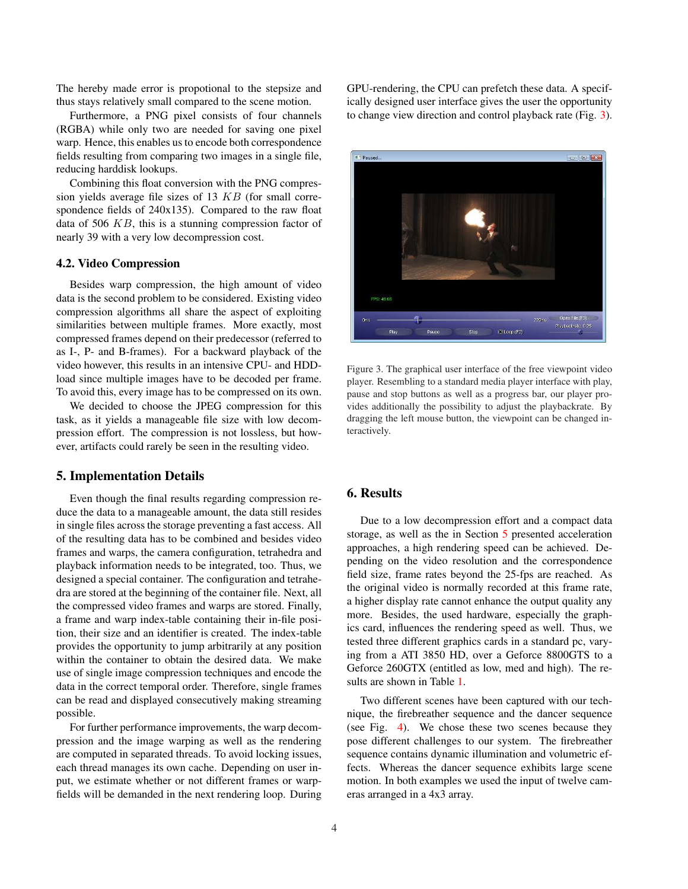The hereby made error is propotional to the stepsize and thus stays relatively small compared to the scene motion.

Furthermore, a PNG pixel consists of four channels (RGBA) while only two are needed for saving one pixel warp. Hence, this enables us to encode both correspondence fields resulting from comparing two images in a single file, reducing harddisk lookups.

Combining this float conversion with the PNG compression yields average file sizes of 13  $KB$  (for small correspondence fields of 240x135). Compared to the raw float data of 506 KB, this is a stunning compression factor of nearly 39 with a very low decompression cost.

#### 4.2. Video Compression

Besides warp compression, the high amount of video data is the second problem to be considered. Existing video compression algorithms all share the aspect of exploiting similarities between multiple frames. More exactly, most compressed frames depend on their predecessor (referred to as I-, P- and B-frames). For a backward playback of the video however, this results in an intensive CPU- and HDDload since multiple images have to be decoded per frame. To avoid this, every image has to be compressed on its own.

We decided to choose the JPEG compression for this task, as it yields a manageable file size with low decompression effort. The compression is not lossless, but however, artifacts could rarely be seen in the resulting video.

#### 5. Implementation Details

Even though the final results regarding compression reduce the data to a manageable amount, the data still resides in single files across the storage preventing a fast access. All of the resulting data has to be combined and besides video frames and warps, the camera configuration, tetrahedra and playback information needs to be integrated, too. Thus, we designed a special container. The configuration and tetrahedra are stored at the beginning of the container file. Next, all the compressed video frames and warps are stored. Finally, a frame and warp index-table containing their in-file position, their size and an identifier is created. The index-table provides the opportunity to jump arbitrarily at any position within the container to obtain the desired data. We make use of single image compression techniques and encode the data in the correct temporal order. Therefore, single frames can be read and displayed consecutively making streaming possible.

For further performance improvements, the warp decompression and the image warping as well as the rendering are computed in separated threads. To avoid locking issues, each thread manages its own cache. Depending on user input, we estimate whether or not different frames or warpfields will be demanded in the next rendering loop. During GPU-rendering, the CPU can prefetch these data. A specifically designed user interface gives the user the opportunity to change view direction and control playback rate (Fig. 3).



Figure 3. The graphical user interface of the free viewpoint video player. Resembling to a standard media player interface with play, pause and stop buttons as well as a progress bar, our player provides additionally the possibility to adjust the playbackrate. By dragging the left mouse button, the viewpoint can be changed interactively.

### 6. Results

Due to a low decompression effort and a compact data storage, as well as the in Section 5 presented acceleration approaches, a high rendering speed can be achieved. Depending on the video resolution and the correspondence field size, frame rates beyond the 25-fps are reached. As the original video is normally recorded at this frame rate, a higher display rate cannot enhance the output quality any more. Besides, the used hardware, especially the graphics card, influences the rendering speed as well. Thus, we tested three different graphics cards in a standard pc, varying from a ATI 3850 HD, over a Geforce 8800GTS to a Geforce 260GTX (entitled as low, med and high). The results are shown in Table 1.

Two different scenes have been captured with our technique, the firebreather sequence and the dancer sequence (see Fig. 4). We chose these two scenes because they pose different challenges to our system. The firebreather sequence contains dynamic illumination and volumetric effects. Whereas the dancer sequence exhibits large scene motion. In both examples we used the input of twelve cameras arranged in a 4x3 array.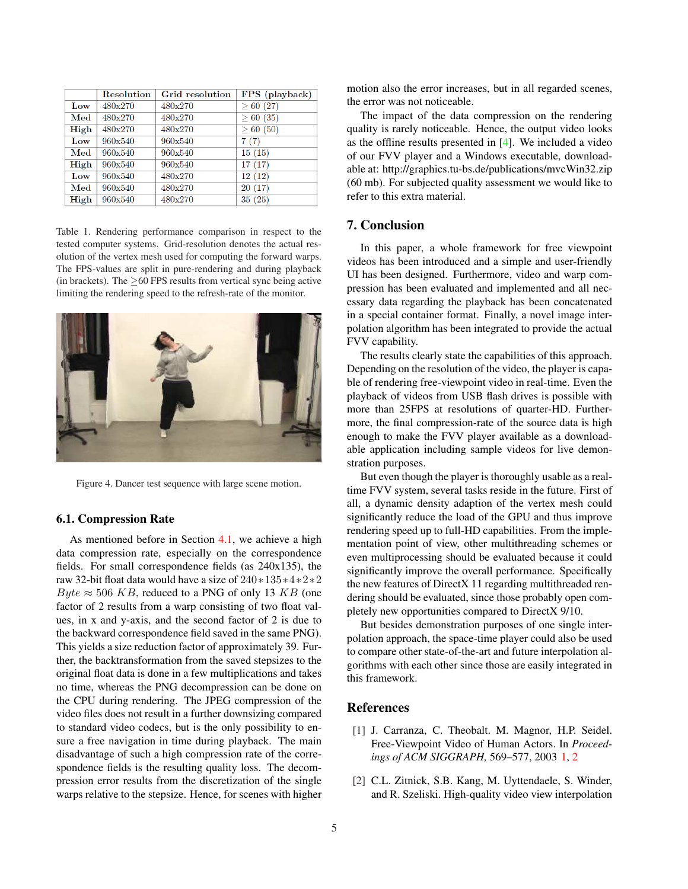|                               | <b>Resolution</b> | Grid resolution | FPS (playback) |
|-------------------------------|-------------------|-----------------|----------------|
| Low                           | 480x270           | 480x270         | > 60(27)       |
| Med                           | 480x270           | 480x270         | > 60(35)       |
| High                          | 480x270           | 480x270         | > 60(50)       |
| Low                           | 960x540           | 960x540         | 7(7)           |
| $\operatorname{\mathbf{Med}}$ | 960x540           | 960x540         | 15(15)         |
| High                          | 960x540           | 960x540         | 17(17)         |
| Low                           | 960x540           | 480x270         | 12 (12)        |
| Med                           | 960x540           | 480x270         | 20(17)         |
| High                          | 960x540           | 480x270         | 35(25)         |

Table 1. Rendering performance comparison in respect to the tested computer systems. Grid-resolution denotes the actual resolution of the vertex mesh used for computing the forward warps. The FPS-values are split in pure-rendering and during playback (in brackets). The  $>60$  FPS results from vertical sync being active limiting the rendering speed to the refresh-rate of the monitor.



Figure 4. Dancer test sequence with large scene motion.

#### 6.1. Compression Rate

As mentioned before in Section 4.1, we achieve a high data compression rate, especially on the correspondence fields. For small correspondence fields (as 240x135), the raw 32-bit float data would have a size of 240∗135∗4∗2∗2 Byte  $\approx$  506 KB, reduced to a PNG of only 13 KB (one factor of 2 results from a warp consisting of two float values, in x and y-axis, and the second factor of 2 is due to the backward correspondence field saved in the same PNG). This yields a size reduction factor of approximately 39. Further, the backtransformation from the saved stepsizes to the original float data is done in a few multiplications and takes no time, whereas the PNG decompression can be done on the CPU during rendering. The JPEG compression of the video files does not result in a further downsizing compared to standard video codecs, but is the only possibility to ensure a free navigation in time during playback. The main disadvantage of such a high compression rate of the correspondence fields is the resulting quality loss. The decompression error results from the discretization of the single warps relative to the stepsize. Hence, for scenes with higher motion also the error increases, but in all regarded scenes, the error was not noticeable.

The impact of the data compression on the rendering quality is rarely noticeable. Hence, the output video looks as the offline results presented in [4]. We included a video of our FVV player and a Windows executable, downloadable at: http://graphics.tu-bs.de/publications/mvcWin32.zip (60 mb). For subjected quality assessment we would like to refer to this extra material.

### 7. Conclusion

In this paper, a whole framework for free viewpoint videos has been introduced and a simple and user-friendly UI has been designed. Furthermore, video and warp compression has been evaluated and implemented and all necessary data regarding the playback has been concatenated in a special container format. Finally, a novel image interpolation algorithm has been integrated to provide the actual FVV capability.

The results clearly state the capabilities of this approach. Depending on the resolution of the video, the player is capable of rendering free-viewpoint video in real-time. Even the playback of videos from USB flash drives is possible with more than 25FPS at resolutions of quarter-HD. Furthermore, the final compression-rate of the source data is high enough to make the FVV player available as a downloadable application including sample videos for live demonstration purposes.

But even though the player is thoroughly usable as a realtime FVV system, several tasks reside in the future. First of all, a dynamic density adaption of the vertex mesh could significantly reduce the load of the GPU and thus improve rendering speed up to full-HD capabilities. From the implementation point of view, other multithreading schemes or even multiprocessing should be evaluated because it could significantly improve the overall performance. Specifically the new features of DirectX 11 regarding multithreaded rendering should be evaluated, since those probably open completely new opportunities compared to DirectX 9/10.

But besides demonstration purposes of one single interpolation approach, the space-time player could also be used to compare other state-of-the-art and future interpolation algorithms with each other since those are easily integrated in this framework.

#### References

- [1] J. Carranza, C. Theobalt. M. Magnor, H.P. Seidel. Free-Viewpoint Video of Human Actors. In *Proceedings of ACM SIGGRAPH,* 569–577, 2003 1, 2
- [2] C.L. Zitnick, S.B. Kang, M. Uyttendaele, S. Winder, and R. Szeliski. High-quality video view interpolation